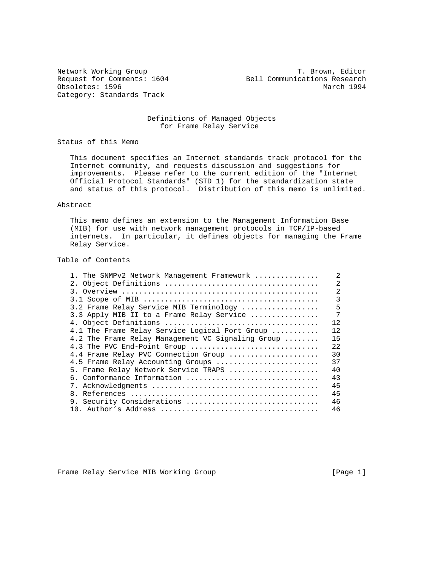Category: Standards Track

Network Working Group T. Brown, Editor Request for Comments: 1604 Bell Communications Research Obsoletes: 1596 March 1994

# Definitions of Managed Objects for Frame Relay Service

Status of this Memo

 This document specifies an Internet standards track protocol for the Internet community, and requests discussion and suggestions for improvements. Please refer to the current edition of the "Internet Official Protocol Standards" (STD 1) for the standardization state and status of this protocol. Distribution of this memo is unlimited.

### Abstract

 This memo defines an extension to the Management Information Base (MIB) for use with network management protocols in TCP/IP-based internets. In particular, it defines objects for managing the Frame Relay Service.

# Table of Contents

| 1. The SNMPv2 Network Management Framework        | $\mathfrak{D}$ |
|---------------------------------------------------|----------------|
|                                                   | 2              |
|                                                   | $\overline{2}$ |
|                                                   | 3              |
| 3.2 Frame Relay Service MIB Terminology           | 5              |
| 3.3 Apply MIB II to a Frame Relay Service         | 7              |
|                                                   | 12             |
| 4.1 The Frame Relay Service Logical Port Group    | 12             |
| 4.2 The Frame Relay Management VC Signaling Group | 15             |
| 4.3 The PVC End-Point Group                       | 22             |
| 4.4 Frame Relay PVC Connection Group              | 30             |
| 4.5 Frame Relay Accounting Groups                 | 37             |
| 5. Frame Relay Network Service TRAPS              | 40             |
| 6. Conformance Information                        | 43             |
|                                                   | 45             |
| 8.                                                | 45             |
| 9. Security Considerations                        | 46             |
|                                                   | 46             |

Frame Relay Service MIB Working Group [Page 1]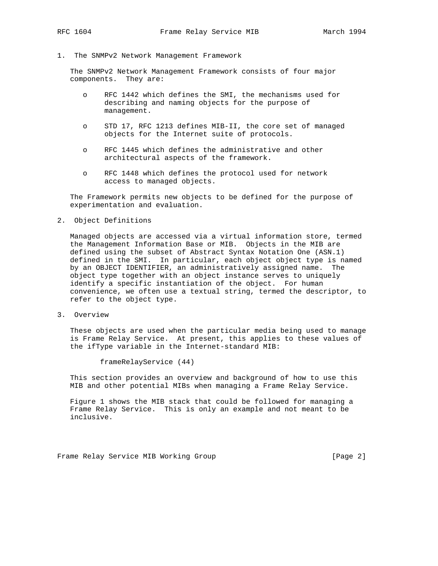- 
- 1. The SNMPv2 Network Management Framework

 The SNMPv2 Network Management Framework consists of four major components. They are:

- o RFC 1442 which defines the SMI, the mechanisms used for describing and naming objects for the purpose of management.
- o STD 17, RFC 1213 defines MIB-II, the core set of managed objects for the Internet suite of protocols.
- o RFC 1445 which defines the administrative and other architectural aspects of the framework.
- o RFC 1448 which defines the protocol used for network access to managed objects.

 The Framework permits new objects to be defined for the purpose of experimentation and evaluation.

2. Object Definitions

 Managed objects are accessed via a virtual information store, termed the Management Information Base or MIB. Objects in the MIB are defined using the subset of Abstract Syntax Notation One (ASN.1) defined in the SMI. In particular, each object object type is named by an OBJECT IDENTIFIER, an administratively assigned name. The object type together with an object instance serves to uniquely identify a specific instantiation of the object. For human convenience, we often use a textual string, termed the descriptor, to refer to the object type.

3. Overview

 These objects are used when the particular media being used to manage is Frame Relay Service. At present, this applies to these values of the ifType variable in the Internet-standard MIB:

frameRelayService (44)

 This section provides an overview and background of how to use this MIB and other potential MIBs when managing a Frame Relay Service.

 Figure 1 shows the MIB stack that could be followed for managing a Frame Relay Service. This is only an example and not meant to be inclusive.

Frame Relay Service MIB Working Group [Page 2]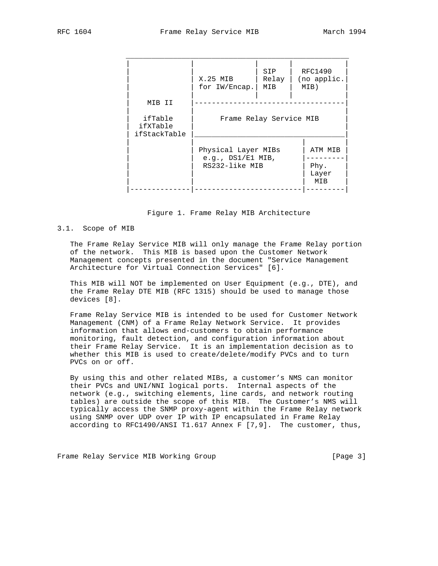|                                     | X.25 MIB<br>for $IW/Encap.$                                  | SIP<br>Relay<br>MIB     | RFC1490<br>(no applic.<br>MIB)  |  |
|-------------------------------------|--------------------------------------------------------------|-------------------------|---------------------------------|--|
| MIB II                              |                                                              | Frame Relay Service MIB |                                 |  |
| ifTable<br>ifXTable<br>ifStackTable |                                                              |                         |                                 |  |
|                                     | Physical Layer MIBs<br>e.g., $DS1/E1$ MIB,<br>RS232-like MIB |                         | ATM MIB<br>Phy.<br>Layer<br>MIB |  |
|                                     |                                                              |                         |                                 |  |

#### Figure 1. Frame Relay MIB Architecture

#### 3.1. Scope of MIB

 The Frame Relay Service MIB will only manage the Frame Relay portion of the network. This MIB is based upon the Customer Network Management concepts presented in the document "Service Management Architecture for Virtual Connection Services" [6].

 This MIB will NOT be implemented on User Equipment (e.g., DTE), and the Frame Relay DTE MIB (RFC 1315) should be used to manage those devices [8].

 Frame Relay Service MIB is intended to be used for Customer Network Management (CNM) of a Frame Relay Network Service. It provides information that allows end-customers to obtain performance monitoring, fault detection, and configuration information about their Frame Relay Service. It is an implementation decision as to whether this MIB is used to create/delete/modify PVCs and to turn PVCs on or off.

 By using this and other related MIBs, a customer's NMS can monitor their PVCs and UNI/NNI logical ports. Internal aspects of the network (e.g., switching elements, line cards, and network routing tables) are outside the scope of this MIB. The Customer's NMS will typically access the SNMP proxy-agent within the Frame Relay network using SNMP over UDP over IP with IP encapsulated in Frame Relay according to RFC1490/ANSI T1.617 Annex F [7,9]. The customer, thus,

Frame Relay Service MIB Working Group [Page 3]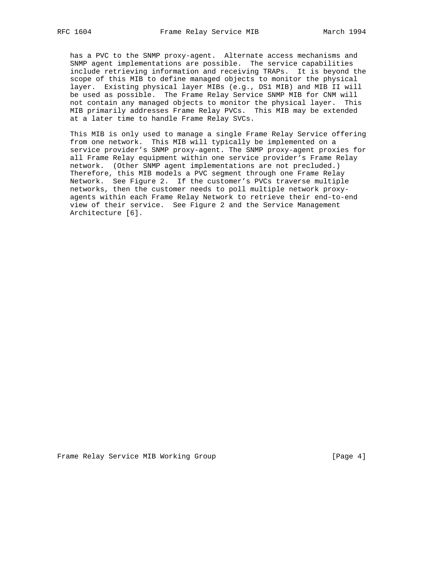has a PVC to the SNMP proxy-agent. Alternate access mechanisms and SNMP agent implementations are possible. The service capabilities include retrieving information and receiving TRAPs. It is beyond the scope of this MIB to define managed objects to monitor the physical layer. Existing physical layer MIBs (e.g., DS1 MIB) and MIB II will be used as possible. The Frame Relay Service SNMP MIB for CNM will not contain any managed objects to monitor the physical layer. This MIB primarily addresses Frame Relay PVCs. This MIB may be extended at a later time to handle Frame Relay SVCs.

 This MIB is only used to manage a single Frame Relay Service offering from one network. This MIB will typically be implemented on a service provider's SNMP proxy-agent. The SNMP proxy-agent proxies for all Frame Relay equipment within one service provider's Frame Relay network. (Other SNMP agent implementations are not precluded.) Therefore, this MIB models a PVC segment through one Frame Relay Network. See Figure 2. If the customer's PVCs traverse multiple networks, then the customer needs to poll multiple network proxy agents within each Frame Relay Network to retrieve their end-to-end view of their service. See Figure 2 and the Service Management Architecture [6].

Frame Relay Service MIB Working Group [Page 4]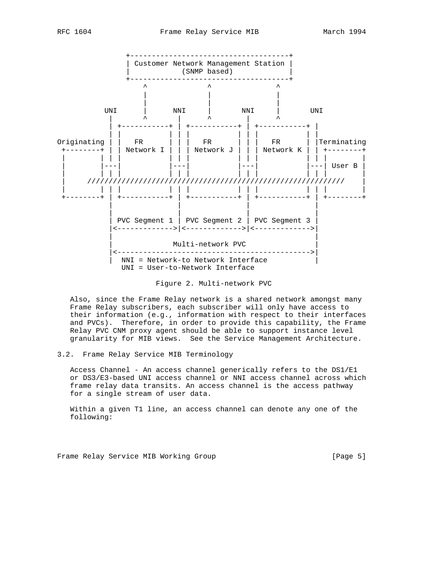

Figure 2. Multi-network PVC

 Also, since the Frame Relay network is a shared network amongst many Frame Relay subscribers, each subscriber will only have access to their information (e.g., information with respect to their interfaces and PVCs). Therefore, in order to provide this capability, the Frame Relay PVC CNM proxy agent should be able to support instance level granularity for MIB views. See the Service Management Architecture.

# 3.2. Frame Relay Service MIB Terminology

 Access Channel - An access channel generically refers to the DS1/E1 or DS3/E3-based UNI access channel or NNI access channel across which frame relay data transits. An access channel is the access pathway for a single stream of user data.

 Within a given T1 line, an access channel can denote any one of the following:

Frame Relay Service MIB Working Group [Page 5]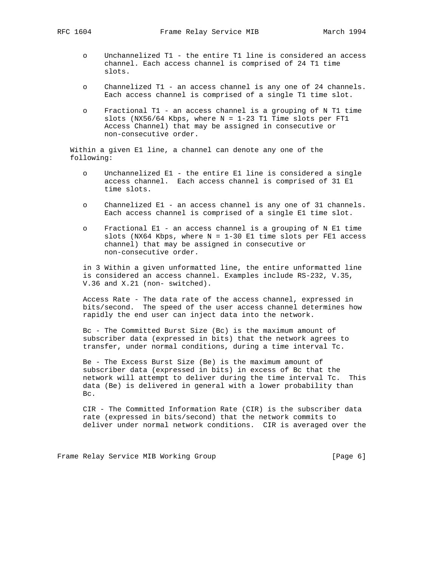- o Unchannelized T1 the entire T1 line is considered an access channel. Each access channel is comprised of 24 T1 time slots.
- o Channelized T1 an access channel is any one of 24 channels. Each access channel is comprised of a single T1 time slot.
- o Fractional T1 an access channel is a grouping of N T1 time slots (NX56/64 Kbps, where  $N = 1-23$  T1 Time slots per FT1 Access Channel) that may be assigned in consecutive or non-consecutive order.

 Within a given E1 line, a channel can denote any one of the following:

- o Unchannelized E1 the entire E1 line is considered a single access channel. Each access channel is comprised of 31 E1 time slots.
- o Channelized E1 an access channel is any one of 31 channels. Each access channel is comprised of a single E1 time slot.
- o Fractional E1 an access channel is a grouping of N E1 time slots (NX64 Kbps, where N = 1-30 E1 time slots per FE1 access channel) that may be assigned in consecutive or non-consecutive order.

 in 3 Within a given unformatted line, the entire unformatted line is considered an access channel. Examples include RS-232, V.35, V.36 and X.21 (non- switched).

 Access Rate - The data rate of the access channel, expressed in bits/second. The speed of the user access channel determines how rapidly the end user can inject data into the network.

 Bc - The Committed Burst Size (Bc) is the maximum amount of subscriber data (expressed in bits) that the network agrees to transfer, under normal conditions, during a time interval Tc.

 Be - The Excess Burst Size (Be) is the maximum amount of subscriber data (expressed in bits) in excess of Bc that the network will attempt to deliver during the time interval Tc. This data (Be) is delivered in general with a lower probability than Bc.

 CIR - The Committed Information Rate (CIR) is the subscriber data rate (expressed in bits/second) that the network commits to deliver under normal network conditions. CIR is averaged over the

Frame Relay Service MIB Working Group [Page 6]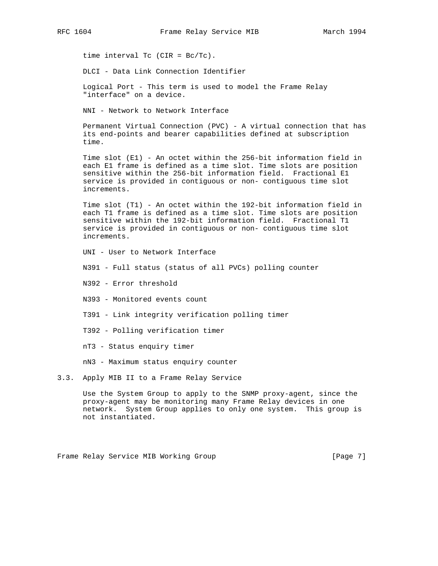time interval Tc (CIR = Bc/Tc).

DLCI - Data Link Connection Identifier

 Logical Port - This term is used to model the Frame Relay "interface" on a device.

NNI - Network to Network Interface

 Permanent Virtual Connection (PVC) - A virtual connection that has its end-points and bearer capabilities defined at subscription time.

 Time slot (E1) - An octet within the 256-bit information field in each E1 frame is defined as a time slot. Time slots are position sensitive within the 256-bit information field. Fractional E1 service is provided in contiguous or non- contiguous time slot increments.

 Time slot (T1) - An octet within the 192-bit information field in each T1 frame is defined as a time slot. Time slots are position sensitive within the 192-bit information field. Fractional T1 service is provided in contiguous or non- contiguous time slot increments.

- UNI User to Network Interface
- N391 Full status (status of all PVCs) polling counter
- N392 Error threshold
- N393 Monitored events count
- T391 Link integrity verification polling timer
- T392 Polling verification timer
- nT3 Status enquiry timer
- nN3 Maximum status enquiry counter
- 3.3. Apply MIB II to a Frame Relay Service

 Use the System Group to apply to the SNMP proxy-agent, since the proxy-agent may be monitoring many Frame Relay devices in one network. System Group applies to only one system. This group is not instantiated.

Frame Relay Service MIB Working Group [Page 7]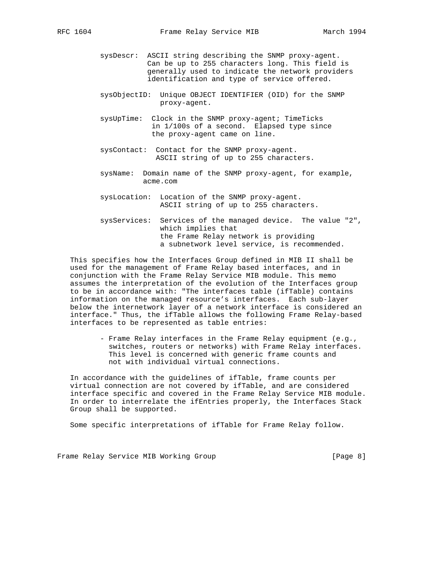- sysDescr: ASCII string describing the SNMP proxy-agent. Can be up to 255 characters long. This field is generally used to indicate the network providers identification and type of service offered.
- sysObjectID: Unique OBJECT IDENTIFIER (OID) for the SNMP proxy-agent.
- sysUpTime: Clock in the SNMP proxy-agent; TimeTicks in 1/100s of a second. Elapsed type since the proxy-agent came on line.
- sysContact: Contact for the SNMP proxy-agent. ASCII string of up to 255 characters.
- sysName: Domain name of the SNMP proxy-agent, for example, acme.com
- sysLocation: Location of the SNMP proxy-agent. ASCII string of up to 255 characters.
- sysServices: Services of the managed device. The value "2", which implies that the Frame Relay network is providing a subnetwork level service, is recommended.

 This specifies how the Interfaces Group defined in MIB II shall be used for the management of Frame Relay based interfaces, and in conjunction with the Frame Relay Service MIB module. This memo assumes the interpretation of the evolution of the Interfaces group to be in accordance with: "The interfaces table (ifTable) contains information on the managed resource's interfaces. Each sub-layer below the internetwork layer of a network interface is considered an interface." Thus, the ifTable allows the following Frame Relay-based interfaces to be represented as table entries:

> - Frame Relay interfaces in the Frame Relay equipment (e.g., switches, routers or networks) with Frame Relay interfaces. This level is concerned with generic frame counts and not with individual virtual connections.

 In accordance with the guidelines of ifTable, frame counts per virtual connection are not covered by ifTable, and are considered interface specific and covered in the Frame Relay Service MIB module. In order to interrelate the ifEntries properly, the Interfaces Stack Group shall be supported.

Some specific interpretations of ifTable for Frame Relay follow.

Frame Relay Service MIB Working Group [Page 8]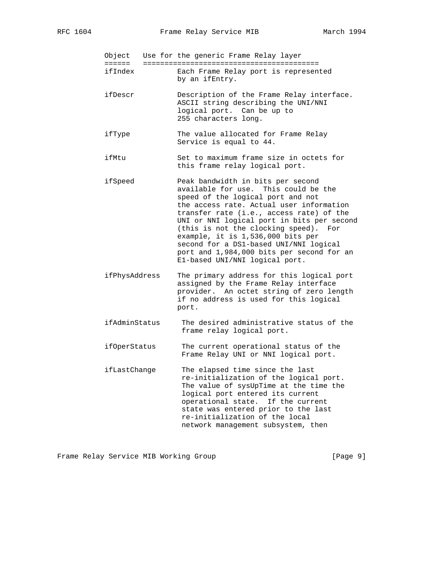Object Use for the generic Frame Relay layer

- ====== ========================================= ifIndex Each Frame Relay port is represented by an ifEntry.
- ifDescr Description of the Frame Relay interface. ASCII string describing the UNI/NNI logical port. Can be up to 255 characters long.
- ifType The value allocated for Frame Relay Service is equal to 44.
- ifMtu Set to maximum frame size in octets for this frame relay logical port.
- ifSpeed Peak bandwidth in bits per second available for use. This could be the speed of the logical port and not the access rate. Actual user information transfer rate (i.e., access rate) of the UNI or NNI logical port in bits per second (this is not the clocking speed). For example, it is 1,536,000 bits per second for a DS1-based UNI/NNI logical port and 1,984,000 bits per second for an E1-based UNI/NNI logical port.
- ifPhysAddress The primary address for this logical port assigned by the Frame Relay interface provider. An octet string of zero length if no address is used for this logical port.
- ifAdminStatus The desired administrative status of the frame relay logical port.
- ifOperStatus The current operational status of the Frame Relay UNI or NNI logical port.
- ifLastChange The elapsed time since the last re-initialization of the logical port. The value of sysUpTime at the time the logical port entered its current operational state. If the current state was entered prior to the last re-initialization of the local network management subsystem, then

Frame Relay Service MIB Working Group [Page 9]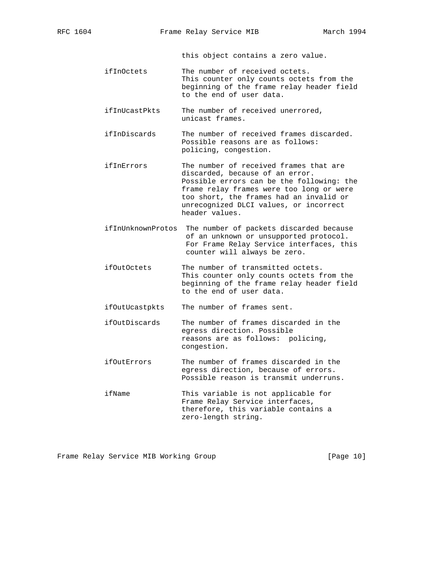this object contains a zero value.

- ifInOctets The number of received octets. This counter only counts octets from the beginning of the frame relay header field to the end of user data.
- ifInUcastPkts The number of received unerrored, unicast frames.
- ifInDiscards The number of received frames discarded. Possible reasons are as follows: policing, congestion.
- ifInErrors The number of received frames that are discarded, because of an error. Possible errors can be the following: the frame relay frames were too long or were too short, the frames had an invalid or unrecognized DLCI values, or incorrect header values.
- ifInUnknownProtos The number of packets discarded because of an unknown or unsupported protocol. For Frame Relay Service interfaces, this counter will always be zero.
- ifOutOctets The number of transmitted octets. This counter only counts octets from the beginning of the frame relay header field to the end of user data.
- ifOutUcastpkts The number of frames sent.
- ifOutDiscards The number of frames discarded in the egress direction. Possible reasons are as follows: policing, congestion.
- ifOutErrors The number of frames discarded in the egress direction, because of errors. Possible reason is transmit underruns.
- ifName This variable is not applicable for Frame Relay Service interfaces, therefore, this variable contains a zero-length string.

Frame Relay Service MIB Working Group [Page 10]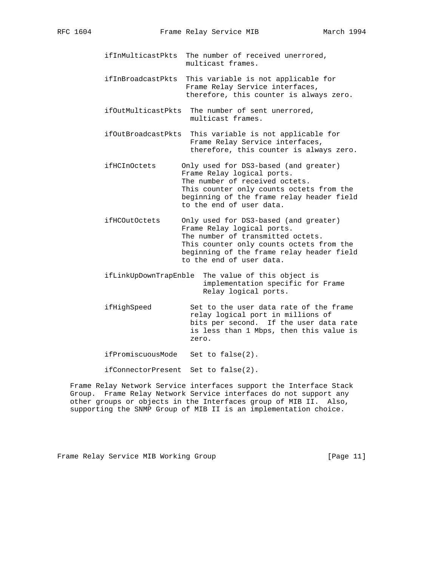- ifInMulticastPkts The number of received unerrored, multicast frames.
- ifInBroadcastPkts This variable is not applicable for Frame Relay Service interfaces, therefore, this counter is always zero.
- ifOutMulticastPkts The number of sent unerrored, multicast frames.
- ifOutBroadcastPkts This variable is not applicable for Frame Relay Service interfaces, therefore, this counter is always zero.
- ifHCInOctets Only used for DS3-based (and greater) Frame Relay logical ports. The number of received octets. This counter only counts octets from the beginning of the frame relay header field to the end of user data.
- ifHCOutOctets Only used for DS3-based (and greater) Frame Relay logical ports. The number of transmitted octets. This counter only counts octets from the beginning of the frame relay header field to the end of user data.
- ifLinkUpDownTrapEnble The value of this object is implementation specific for Frame Relay logical ports.
- ifHighSpeed Set to the user data rate of the frame relay logical port in millions of bits per second. If the user data rate is less than 1 Mbps, then this value is zero.
- ifPromiscuousMode Set to false(2).

ifConnectorPresent Set to false(2).

 Frame Relay Network Service interfaces support the Interface Stack Group. Frame Relay Network Service interfaces do not support any other groups or objects in the Interfaces group of MIB II. Also, supporting the SNMP Group of MIB II is an implementation choice.

Frame Relay Service MIB Working Group [Page 11]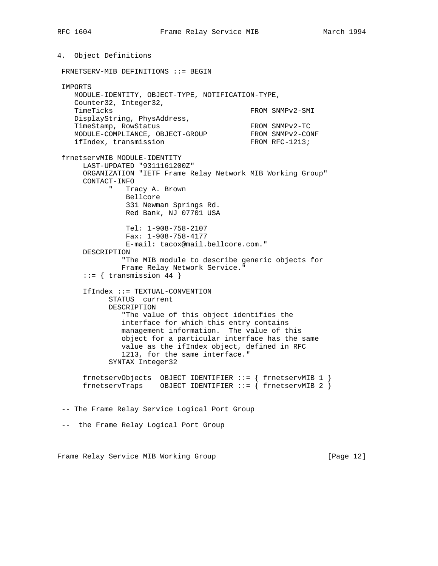4. Object Definitions FRNETSERV-MIB DEFINITIONS ::= BEGIN IMPORTS MODULE-IDENTITY, OBJECT-TYPE, NOTIFICATION-TYPE, Counter32, Integer32, TimeTicks FROM SNMPv2-SMI DisplayString, PhysAddress, TimeStamp, RowStatus FROM SNMPv2-TC MODULE-COMPLIANCE, OBJECT-GROUP FROM SNMPv2-CONF ifIndex, transmission FROM RFC-1213; frnetservMIB MODULE-IDENTITY LAST-UPDATED "9311161200Z" ORGANIZATION "IETF Frame Relay Network MIB Working Group" CONTACT-INFO " Tracy A. Brown Bellcore 331 Newman Springs Rd. Red Bank, NJ 07701 USA Tel: 1-908-758-2107 Fax: 1-908-758-4177 E-mail: tacox@mail.bellcore.com." DESCRIPTION "The MIB module to describe generic objects for Frame Relay Network Service."  $::=$  { transmission 44 } IfIndex ::= TEXTUAL-CONVENTION STATUS current DESCRIPTION "The value of this object identifies the interface for which this entry contains management information. The value of this object for a particular interface has the same value as the ifIndex object, defined in RFC 1213, for the same interface." SYNTAX Integer32 frnetservObjects OBJECT IDENTIFIER ::= { frnetservMIB 1 } frnetservTraps OBJECT IDENTIFIER ::=  $\int$  frnetservMIB 2  $\int$  -- The Frame Relay Service Logical Port Group -- the Frame Relay Logical Port Group

Frame Relay Service MIB Working Group [97] [Page 12]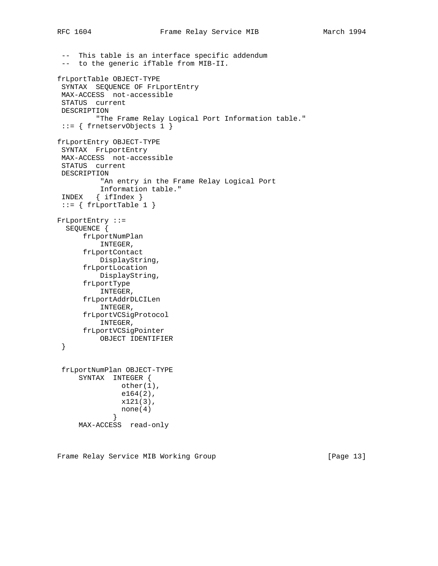```
 -- This table is an interface specific addendum
  -- to the generic ifTable from MIB-II.
frLportTable OBJECT-TYPE
  SYNTAX SEQUENCE OF FrLportEntry
 MAX-ACCESS not-accessible
  STATUS current
 DESCRIPTION
          "The Frame Relay Logical Port Information table."
  ::= { frnetservObjects 1 }
frLportEntry OBJECT-TYPE
  SYNTAX FrLportEntry
  MAX-ACCESS not-accessible
  STATUS current
 DESCRIPTION
           "An entry in the Frame Relay Logical Port
          Information table."
  INDEX { ifIndex }
 ::= \{ frflportTable 1 \}FrLportEntry ::=
   SEQUENCE {
       frLportNumPlan
          INTEGER,
       frLportContact
           DisplayString,
       frLportLocation
          DisplayString,
       frLportType
           INTEGER,
       frLportAddrDLCILen
          INTEGER,
       frLportVCSigProtocol
          INTEGER,
       frLportVCSigPointer
          OBJECT IDENTIFIER
  }
  frLportNumPlan OBJECT-TYPE
      SYNTAX INTEGER {
               other(1),
                e164(2),
                x121(3),
             none(4) }
      MAX-ACCESS read-only
```
Frame Relay Service MIB Working Group [Page 13]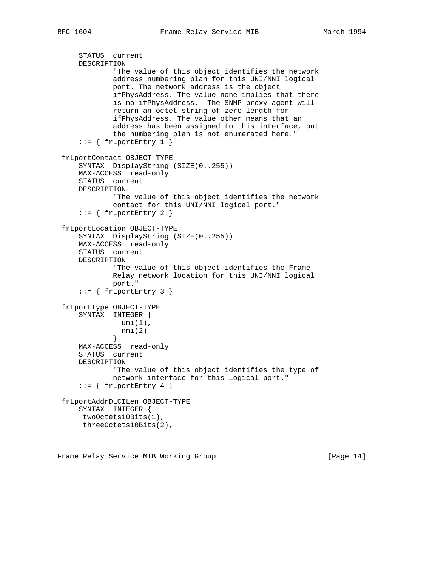```
 STATUS current
     DESCRIPTION
              "The value of this object identifies the network
              address numbering plan for this UNI/NNI logical
              port. The network address is the object
              ifPhysAddress. The value none implies that there
              is no ifPhysAddress. The SNMP proxy-agent will
              return an octet string of zero length for
              ifPhysAddress. The value other means that an
              address has been assigned to this interface, but
              the numbering plan is not enumerated here."
      ::= { frLportEntry 1 }
 frLportContact OBJECT-TYPE
     SYNTAX DisplayString (SIZE(0..255))
     MAX-ACCESS read-only
     STATUS current
     DESCRIPTION
              "The value of this object identifies the network
              contact for this UNI/NNI logical port."
     ::= { frLportEntry 2 }
 frLportLocation OBJECT-TYPE
     SYNTAX DisplayString (SIZE(0..255))
     MAX-ACCESS read-only
     STATUS current
     DESCRIPTION
              "The value of this object identifies the Frame
              Relay network location for this UNI/NNI logical
              port."
     ::= { frLportEntry 3 }
 frLportType OBJECT-TYPE
     SYNTAX INTEGER {
               uni(1),
             nni(2)
 }
     MAX-ACCESS read-only
     STATUS current
     DESCRIPTION
              "The value of this object identifies the type of
              network interface for this logical port."
     ::= { frLportEntry 4 }
 frLportAddrDLCILen OBJECT-TYPE
     SYNTAX INTEGER {
      twoOctets10Bits(1),
      threeOctets10Bits(2),
```
Frame Relay Service MIB Working Group [97] [Page 14]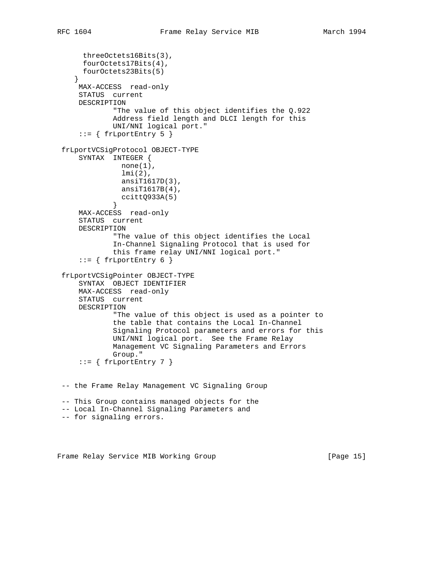```
 threeOctets16Bits(3),
       fourOctets17Bits(4),
      fourOctets23Bits(5)
     }
     MAX-ACCESS read-only
     STATUS current
     DESCRIPTION
              "The value of this object identifies the Q.922
              Address field length and DLCI length for this
              UNI/NNI logical port."
     ::= \{ frfLportEntry 5 \} frLportVCSigProtocol OBJECT-TYPE
     SYNTAX INTEGER {
               none(1),
                lmi(2),
               ansiT1617D(3),
               ansiT1617B(4),
               ccittQ933A(5)
 }
     MAX-ACCESS read-only
     STATUS current
     DESCRIPTION
              "The value of this object identifies the Local
              In-Channel Signaling Protocol that is used for
              this frame relay UNI/NNI logical port."
     ::= { frLportEntry 6 }
 frLportVCSigPointer OBJECT-TYPE
     SYNTAX OBJECT IDENTIFIER
     MAX-ACCESS read-only
     STATUS current
     DESCRIPTION
              "The value of this object is used as a pointer to
              the table that contains the Local In-Channel
              Signaling Protocol parameters and errors for this
              UNI/NNI logical port. See the Frame Relay
              Management VC Signaling Parameters and Errors
              Group."
     ::= { frLportEntry 7 }
 -- the Frame Relay Management VC Signaling Group
 -- This Group contains managed objects for the
 -- Local In-Channel Signaling Parameters and
 -- for signaling errors.
```
Frame Relay Service MIB Working Group [Page 15]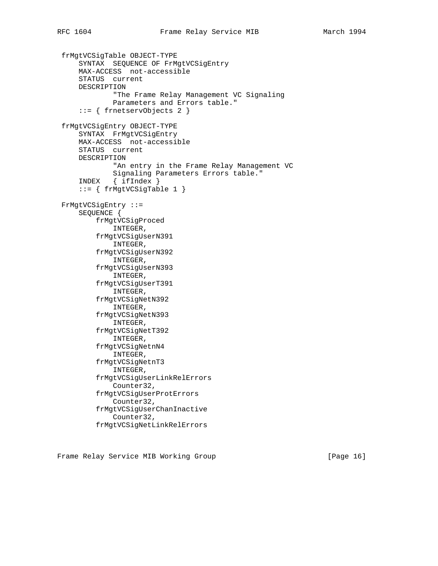```
 frMgtVCSigTable OBJECT-TYPE
     SYNTAX SEQUENCE OF FrMgtVCSigEntry
     MAX-ACCESS not-accessible
     STATUS current
     DESCRIPTION
              "The Frame Relay Management VC Signaling
             Parameters and Errors table."
     ::= { frnetservObjects 2 }
 frMgtVCSigEntry OBJECT-TYPE
     SYNTAX FrMgtVCSigEntry
     MAX-ACCESS not-accessible
     STATUS current
     DESCRIPTION
             "An entry in the Frame Relay Management VC
             Signaling Parameters Errors table."
     INDEX { ifIndex }
     ::= { frMgtVCSigTable 1 }
 FrMgtVCSigEntry ::=
     SEQUENCE {
         frMgtVCSigProced
             INTEGER,
         frMgtVCSigUserN391
             INTEGER,
         frMgtVCSigUserN392
             INTEGER,
         frMgtVCSigUserN393
             INTEGER,
         frMgtVCSigUserT391
             INTEGER,
         frMgtVCSigNetN392
             INTEGER,
         frMgtVCSigNetN393
             INTEGER,
         frMgtVCSigNetT392
             INTEGER,
         frMgtVCSigNetnN4
             INTEGER,
         frMgtVCSigNetnT3
             INTEGER,
         frMgtVCSigUserLinkRelErrors
             Counter32,
         frMgtVCSigUserProtErrors
             Counter32,
         frMgtVCSigUserChanInactive
             Counter32,
         frMgtVCSigNetLinkRelErrors
```
Frame Relay Service MIB Working Group [Page 16]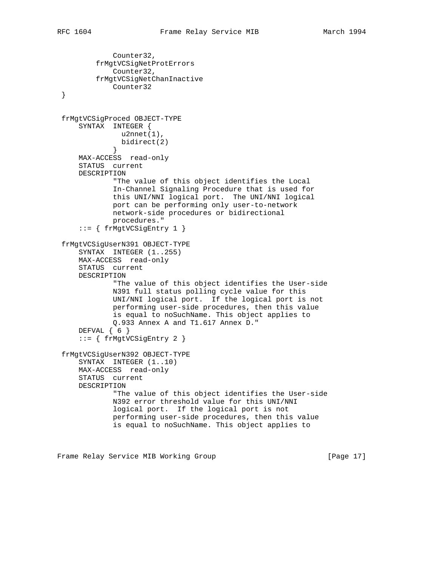```
 Counter32,
         frMgtVCSigNetProtErrors
              Counter32,
         frMgtVCSigNetChanInactive
             Counter32
 }
 frMgtVCSigProced OBJECT-TYPE
     SYNTAX INTEGER {
              u2nnet(1),
             bidirect(2) \} }
     MAX-ACCESS read-only
     STATUS current
     DESCRIPTION
              "The value of this object identifies the Local
              In-Channel Signaling Procedure that is used for
              this UNI/NNI logical port. The UNI/NNI logical
              port can be performing only user-to-network
              network-side procedures or bidirectional
              procedures."
      ::= { frMgtVCSigEntry 1 }
 frMgtVCSigUserN391 OBJECT-TYPE
     SYNTAX INTEGER (1..255)
     MAX-ACCESS read-only
     STATUS current
     DESCRIPTION
              "The value of this object identifies the User-side
              N391 full status polling cycle value for this
              UNI/NNI logical port. If the logical port is not
              performing user-side procedures, then this value
              is equal to noSuchName. This object applies to
              Q.933 Annex A and T1.617 Annex D."
    DEFVAL { 6 }
     ::= { frMgtVCSigEntry 2 }
 frMgtVCSigUserN392 OBJECT-TYPE
     SYNTAX INTEGER (1..10)
     MAX-ACCESS read-only
     STATUS current
     DESCRIPTION
              "The value of this object identifies the User-side
              N392 error threshold value for this UNI/NNI
              logical port. If the logical port is not
              performing user-side procedures, then this value
              is equal to noSuchName. This object applies to
```
Frame Relay Service MIB Working Group [Page 17]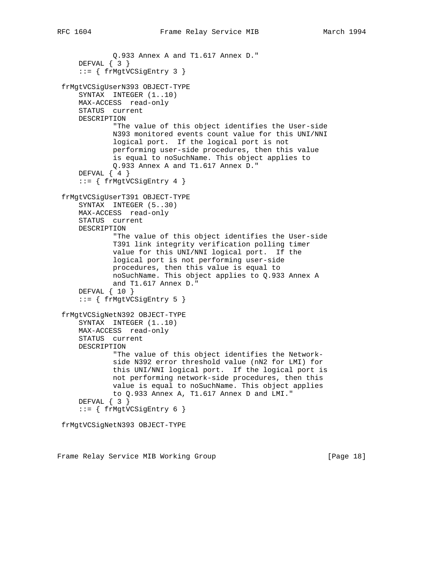```
 Q.933 Annex A and T1.617 Annex D."
     DEFVAL { 3 }
     ::= { frMgtVCSigEntry 3 }
 frMgtVCSigUserN393 OBJECT-TYPE
     SYNTAX INTEGER (1..10)
    MAX-ACCESS read-only
     STATUS current
     DESCRIPTION
             "The value of this object identifies the User-side
             N393 monitored events count value for this UNI/NNI
             logical port. If the logical port is not
             performing user-side procedures, then this value
             is equal to noSuchName. This object applies to
             Q.933 Annex A and T1.617 Annex D."
     DEFVAL { 4 }
     ::= { frMgtVCSigEntry 4 }
 frMgtVCSigUserT391 OBJECT-TYPE
     SYNTAX INTEGER (5..30)
     MAX-ACCESS read-only
     STATUS current
    DESCRIPTION
             "The value of this object identifies the User-side
             T391 link integrity verification polling timer
             value for this UNI/NNI logical port. If the
             logical port is not performing user-side
             procedures, then this value is equal to
             noSuchName. This object applies to Q.933 Annex A
            and T1.617 Annex D."
     DEFVAL { 10 }
    ::= { frMgtVCSigEntry 5 }
 frMgtVCSigNetN392 OBJECT-TYPE
     SYNTAX INTEGER (1..10)
     MAX-ACCESS read-only
     STATUS current
     DESCRIPTION
             "The value of this object identifies the Network-
             side N392 error threshold value (nN2 for LMI) for
             this UNI/NNI logical port. If the logical port is
             not performing network-side procedures, then this
             value is equal to noSuchName. This object applies
             to Q.933 Annex A, T1.617 Annex D and LMI."
    DEFVAL { 3 }
     ::= { frMgtVCSigEntry 6 }
 frMgtVCSigNetN393 OBJECT-TYPE
```
Frame Relay Service MIB Working Group [Page 18]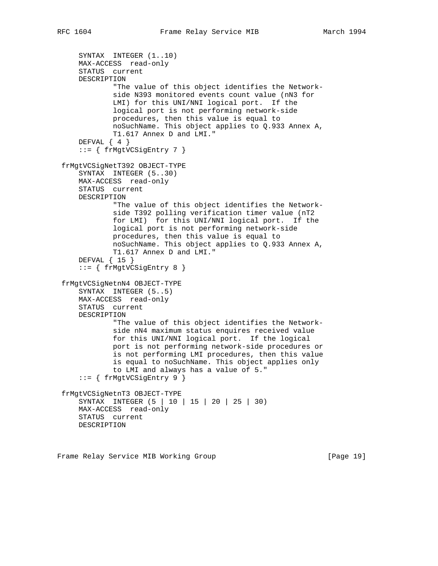```
 SYNTAX INTEGER (1..10)
     MAX-ACCESS read-only
     STATUS current
     DESCRIPTION
             "The value of this object identifies the Network-
             side N393 monitored events count value (nN3 for
             LMI) for this UNI/NNI logical port. If the
             logical port is not performing network-side
             procedures, then this value is equal to
             noSuchName. This object applies to Q.933 Annex A,
             T1.617 Annex D and LMI."
     DEFVAL { 4 }
     ::= { frMgtVCSigEntry 7 }
 frMgtVCSigNetT392 OBJECT-TYPE
     SYNTAX INTEGER (5..30)
     MAX-ACCESS read-only
     STATUS current
    DESCRIPTION
             "The value of this object identifies the Network-
             side T392 polling verification timer value (nT2
             for LMI) for this UNI/NNI logical port. If the
             logical port is not performing network-side
             procedures, then this value is equal to
             noSuchName. This object applies to Q.933 Annex A,
             T1.617 Annex D and LMI."
     DEFVAL { 15 }
     ::= { frMgtVCSigEntry 8 }
 frMgtVCSigNetnN4 OBJECT-TYPE
     SYNTAX INTEGER (5..5)
    MAX-ACCESS read-only
     STATUS current
     DESCRIPTION
             "The value of this object identifies the Network-
             side nN4 maximum status enquires received value
             for this UNI/NNI logical port. If the logical
             port is not performing network-side procedures or
             is not performing LMI procedures, then this value
             is equal to noSuchName. This object applies only
             to LMI and always has a value of 5."
     ::= { frMgtVCSigEntry 9 }
 frMgtVCSigNetnT3 OBJECT-TYPE
     SYNTAX INTEGER (5 | 10 | 15 | 20 | 25 | 30)
    MAX-ACCESS read-only
    STATUS current
    DESCRIPTION
```
Frame Relay Service MIB Working Group [Page 19]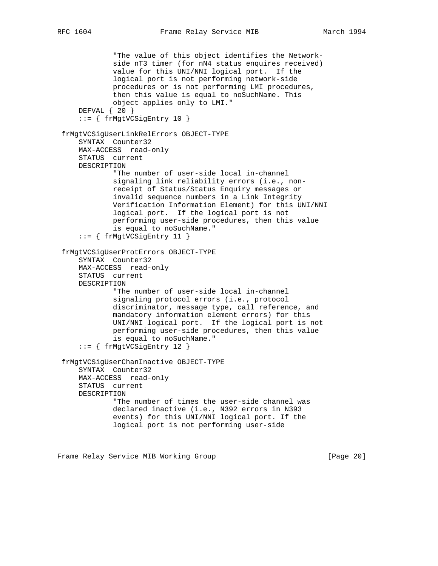```
 "The value of this object identifies the Network-
             side nT3 timer (for nN4 status enquires received)
             value for this UNI/NNI logical port. If the
             logical port is not performing network-side
             procedures or is not performing LMI procedures,
             then this value is equal to noSuchName. This
             object applies only to LMI."
     DEFVAL { 20 }
     ::= { frMgtVCSigEntry 10 }
 frMgtVCSigUserLinkRelErrors OBJECT-TYPE
     SYNTAX Counter32
     MAX-ACCESS read-only
     STATUS current
     DESCRIPTION
             "The number of user-side local in-channel
             signaling link reliability errors (i.e., non-
             receipt of Status/Status Enquiry messages or
             invalid sequence numbers in a Link Integrity
             Verification Information Element) for this UNI/NNI
             logical port. If the logical port is not
             performing user-side procedures, then this value
             is equal to noSuchName."
     ::= { frMgtVCSigEntry 11 }
 frMgtVCSigUserProtErrors OBJECT-TYPE
     SYNTAX Counter32
     MAX-ACCESS read-only
     STATUS current
     DESCRIPTION
             "The number of user-side local in-channel
             signaling protocol errors (i.e., protocol
             discriminator, message type, call reference, and
             mandatory information element errors) for this
             UNI/NNI logical port. If the logical port is not
             performing user-side procedures, then this value
             is equal to noSuchName."
     ::= { frMgtVCSigEntry 12 }
 frMgtVCSigUserChanInactive OBJECT-TYPE
     SYNTAX Counter32
     MAX-ACCESS read-only
     STATUS current
     DESCRIPTION
             "The number of times the user-side channel was
             declared inactive (i.e., N392 errors in N393
             events) for this UNI/NNI logical port. If the
             logical port is not performing user-side
```
Frame Relay Service MIB Working Group [97] [Page 20]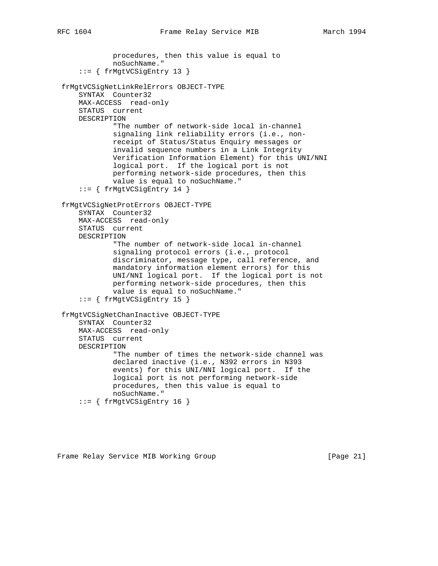procedures, then this value is equal to noSuchName." ::= { frMgtVCSigEntry 13 } frMgtVCSigNetLinkRelErrors OBJECT-TYPE SYNTAX Counter32 MAX-ACCESS read-only STATUS current DESCRIPTION "The number of network-side local in-channel signaling link reliability errors (i.e., non receipt of Status/Status Enquiry messages or invalid sequence numbers in a Link Integrity Verification Information Element) for this UNI/NNI logical port. If the logical port is not performing network-side procedures, then this value is equal to noSuchName." ::= { frMgtVCSigEntry 14 } frMgtVCSigNetProtErrors OBJECT-TYPE SYNTAX Counter32 MAX-ACCESS read-only STATUS current DESCRIPTION "The number of network-side local in-channel signaling protocol errors (i.e., protocol discriminator, message type, call reference, and mandatory information element errors) for this UNI/NNI logical port. If the logical port is not performing network-side procedures, then this value is equal to noSuchName." ::= { frMgtVCSigEntry 15 } frMgtVCSigNetChanInactive OBJECT-TYPE SYNTAX Counter32 MAX-ACCESS read-only STATUS current DESCRIPTION "The number of times the network-side channel was declared inactive (i.e., N392 errors in N393 events) for this UNI/NNI logical port. If the logical port is not performing network-side procedures, then this value is equal to noSuchName." ::= { frMgtVCSigEntry 16 }

Frame Relay Service MIB Working Group [97] [Page 21]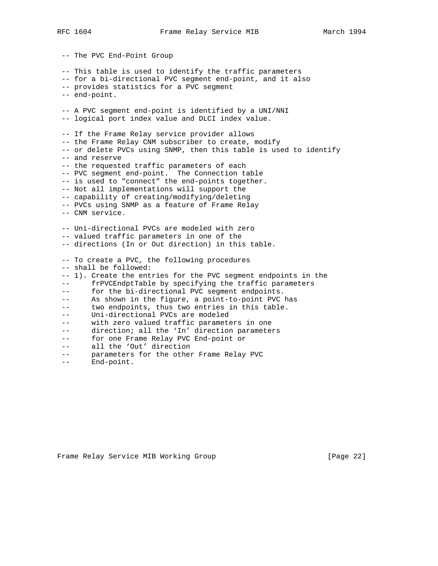-- The PVC End-Point Group -- This table is used to identify the traffic parameters -- for a bi-directional PVC segment end-point, and it also -- provides statistics for a PVC segment -- end-point. -- A PVC segment end-point is identified by a UNI/NNI -- logical port index value and DLCI index value. -- If the Frame Relay service provider allows -- the Frame Relay CNM subscriber to create, modify -- or delete PVCs using SNMP, then this table is used to identify -- and reserve -- the requested traffic parameters of each -- PVC segment end-point. The Connection table -- is used to "connect" the end-points together. -- Not all implementations will support the -- capability of creating/modifying/deleting -- PVCs using SNMP as a feature of Frame Relay -- CNM service. -- Uni-directional PVCs are modeled with zero -- valued traffic parameters in one of the -- directions (In or Out direction) in this table. -- To create a PVC, the following procedures -- shall be followed: -- 1). Create the entries for the PVC segment endpoints in the -- frPVCEndptTable by specifying the traffic parameters -- for the bi-directional PVC segment endpoints. -- As shown in the figure, a point-to-point PVC has -- two endpoints, thus two entries in this table. -- Uni-directional PVCs are modeled -- with zero valued traffic parameters in one -- direction; all the 'In' direction parameters -- for one Frame Relay PVC End-point or -- all the 'Out' direction -- parameters for the other Frame Relay PVC -- End-point.

Frame Relay Service MIB Working Group [97] [Page 22]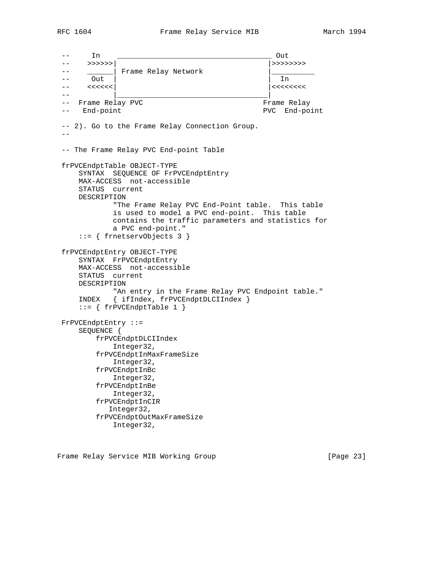-- In \_\_\_\_\_\_\_\_\_\_\_\_\_\_\_\_\_\_\_\_\_\_\_\_\_\_\_\_\_\_\_\_\_\_\_\_ Out -- >>>>>>| |>>>>>>>> -- \_\_\_\_\_\_\_\_\_| Frame Relay Network -- Out | | In  $- \leftarrow$   $\leftarrow$  -- |\_\_\_\_\_\_\_\_\_\_\_\_\_\_\_\_\_\_\_\_\_\_\_\_\_\_\_\_\_\_\_\_\_\_\_| -- Frame Relay PVC **Frame Relay** -- End-point extended by PVC End-point -- 2). Go to the Frame Relay Connection Group.  $- -$  -- The Frame Relay PVC End-point Table frPVCEndptTable OBJECT-TYPE SYNTAX SEQUENCE OF FrPVCEndptEntry MAX-ACCESS not-accessible STATUS current DESCRIPTION "The Frame Relay PVC End-Point table. This table is used to model a PVC end-point. This table contains the traffic parameters and statistics for a PVC end-point." ::= { frnetservObjects 3 } frPVCEndptEntry OBJECT-TYPE SYNTAX FrPVCEndptEntry MAX-ACCESS not-accessible STATUS current DESCRIPTION "An entry in the Frame Relay PVC Endpoint table." INDEX { ifIndex, frPVCEndptDLCIIndex } ::= { frPVCEndptTable 1 } FrPVCEndptEntry ::= SEQUENCE { frPVCEndptDLCIIndex Integer32, frPVCEndptInMaxFrameSize Integer32, frPVCEndptInBc Integer32, frPVCEndptInBe Integer32, frPVCEndptInCIR Integer32, frPVCEndptOutMaxFrameSize Integer32,

Frame Relay Service MIB Working Group [97] [Page 23]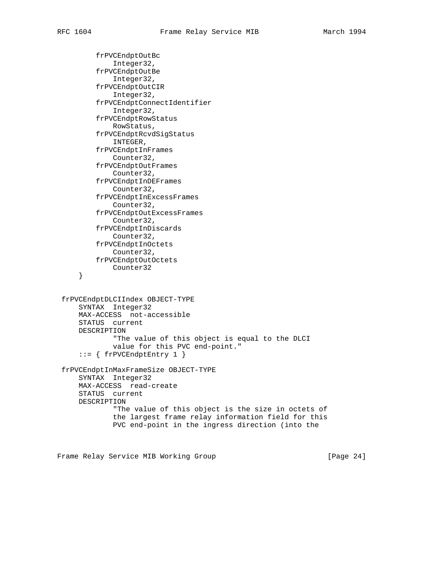frPVCEndptOutBc Integer32, frPVCEndptOutBe Integer32, frPVCEndptOutCIR Integer32, frPVCEndptConnectIdentifier Integer32, frPVCEndptRowStatus RowStatus, frPVCEndptRcvdSigStatus INTEGER, frPVCEndptInFrames Counter32, frPVCEndptOutFrames Counter32, frPVCEndptInDEFrames Counter32, frPVCEndptInExcessFrames Counter32, frPVCEndptOutExcessFrames Counter32, frPVCEndptInDiscards Counter32, frPVCEndptInOctets Counter32, frPVCEndptOutOctets Counter32 } frPVCEndptDLCIIndex OBJECT-TYPE SYNTAX Integer32 MAX-ACCESS not-accessible STATUS current DESCRIPTION "The value of this object is equal to the DLCI value for this PVC end-point."  $::=$  { frPVCEndptEntry 1 } frPVCEndptInMaxFrameSize OBJECT-TYPE SYNTAX Integer32 MAX-ACCESS read-create STATUS current DESCRIPTION "The value of this object is the size in octets of the largest frame relay information field for this PVC end-point in the ingress direction (into the

Frame Relay Service MIB Working Group [97] [Page 24]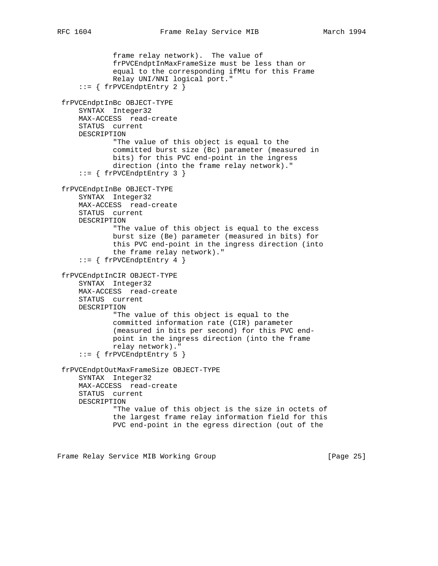```
 frame relay network). The value of
             frPVCEndptInMaxFrameSize must be less than or
             equal to the corresponding ifMtu for this Frame
             Relay UNI/NNI logical port."
     ::= { frPVCEndptEntry 2 }
 frPVCEndptInBc OBJECT-TYPE
     SYNTAX Integer32
     MAX-ACCESS read-create
     STATUS current
     DESCRIPTION
             "The value of this object is equal to the
             committed burst size (Bc) parameter (measured in
             bits) for this PVC end-point in the ingress
             direction (into the frame relay network)."
     ::= { frPVCEndptEntry 3 }
 frPVCEndptInBe OBJECT-TYPE
     SYNTAX Integer32
     MAX-ACCESS read-create
     STATUS current
     DESCRIPTION
             "The value of this object is equal to the excess
             burst size (Be) parameter (measured in bits) for
             this PVC end-point in the ingress direction (into
             the frame relay network)."
    ::= { frPVCEndptEntry 4 }
 frPVCEndptInCIR OBJECT-TYPE
     SYNTAX Integer32
    MAX-ACCESS read-create
     STATUS current
    DESCRIPTION
             "The value of this object is equal to the
             committed information rate (CIR) parameter
             (measured in bits per second) for this PVC end-
             point in the ingress direction (into the frame
             relay network)."
     ::= { frPVCEndptEntry 5 }
 frPVCEndptOutMaxFrameSize OBJECT-TYPE
     SYNTAX Integer32
    MAX-ACCESS read-create
     STATUS current
     DESCRIPTION
             "The value of this object is the size in octets of
             the largest frame relay information field for this
             PVC end-point in the egress direction (out of the
```
Frame Relay Service MIB Working Group [Page 25]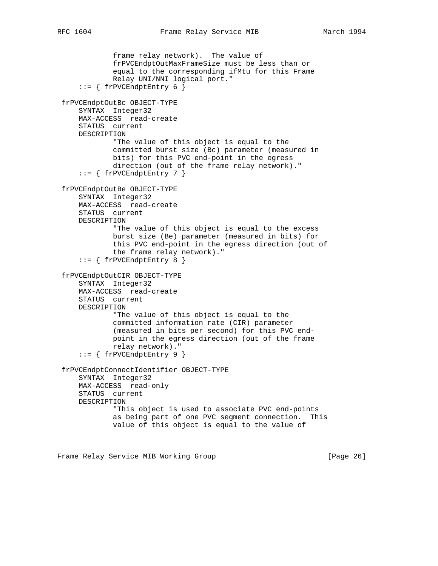```
 frame relay network). The value of
             frPVCEndptOutMaxFrameSize must be less than or
             equal to the corresponding ifMtu for this Frame
             Relay UNI/NNI logical port."
    ::= { frPVCEndptEntry 6 }
 frPVCEndptOutBc OBJECT-TYPE
     SYNTAX Integer32
     MAX-ACCESS read-create
     STATUS current
     DESCRIPTION
             "The value of this object is equal to the
             committed burst size (Bc) parameter (measured in
             bits) for this PVC end-point in the egress
             direction (out of the frame relay network)."
    ::= { frPVCEndptEntry 7 }
 frPVCEndptOutBe OBJECT-TYPE
     SYNTAX Integer32
     MAX-ACCESS read-create
     STATUS current
     DESCRIPTION
             "The value of this object is equal to the excess
             burst size (Be) parameter (measured in bits) for
             this PVC end-point in the egress direction (out of
             the frame relay network)."
    ::= { frPVCEndptEntry 8 }
 frPVCEndptOutCIR OBJECT-TYPE
     SYNTAX Integer32
    MAX-ACCESS read-create
     STATUS current
    DESCRIPTION
             "The value of this object is equal to the
             committed information rate (CIR) parameter
             (measured in bits per second) for this PVC end-
             point in the egress direction (out of the frame
             relay network)."
     ::= { frPVCEndptEntry 9 }
 frPVCEndptConnectIdentifier OBJECT-TYPE
     SYNTAX Integer32
    MAX-ACCESS read-only
     STATUS current
     DESCRIPTION
             "This object is used to associate PVC end-points
             as being part of one PVC segment connection. This
             value of this object is equal to the value of
```
Frame Relay Service MIB Working Group [97] [Page 26]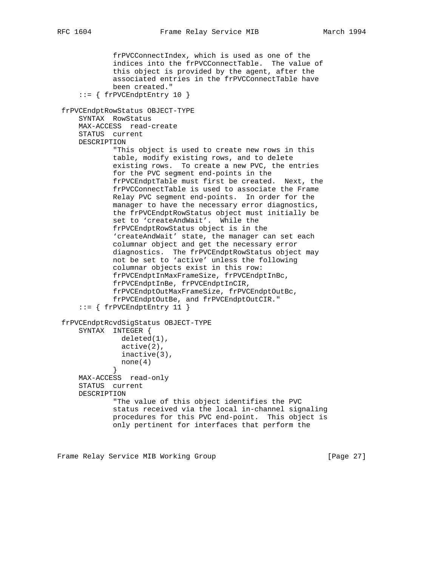```
 frPVCConnectIndex, which is used as one of the
 indices into the frPVCConnectTable. The value of
 this object is provided by the agent, after the
             associated entries in the frPVCConnectTable have
             been created."
     ::= { frPVCEndptEntry 10 }
 frPVCEndptRowStatus OBJECT-TYPE
     SYNTAX RowStatus
     MAX-ACCESS read-create
     STATUS current
     DESCRIPTION
             "This object is used to create new rows in this
             table, modify existing rows, and to delete
             existing rows. To create a new PVC, the entries
             for the PVC segment end-points in the
             frPVCEndptTable must first be created. Next, the
             frPVCConnectTable is used to associate the Frame
             Relay PVC segment end-points. In order for the
             manager to have the necessary error diagnostics,
             the frPVCEndptRowStatus object must initially be
             set to 'createAndWait'. While the
             frPVCEndptRowStatus object is in the
             'createAndWait' state, the manager can set each
             columnar object and get the necessary error
 diagnostics. The frPVCEndptRowStatus object may
 not be set to 'active' unless the following
             columnar objects exist in this row:
             frPVCEndptInMaxFrameSize, frPVCEndptInBc,
             frPVCEndptInBe, frPVCEndptInCIR,
             frPVCEndptOutMaxFrameSize, frPVCEndptOutBc,
             frPVCEndptOutBe, and frPVCEndptOutCIR."
     ::= { frPVCEndptEntry 11 }
 frPVCEndptRcvdSigStatus OBJECT-TYPE
     SYNTAX INTEGER {
               deleted(1),
               active(2),
```
"The value of this object identifies the PVC

 status received via the local in-channel signaling procedures for this PVC end-point. This object is only pertinent for interfaces that perform the

Frame Relay Service MIB Working Group [97] [Page 27]

 inactive(3), none(4)

MAX-ACCESS read-only

 STATUS current DESCRIPTION

}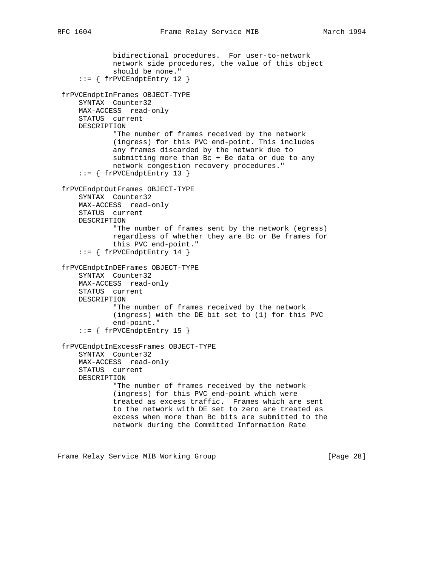```
 bidirectional procedures. For user-to-network
             network side procedures, the value of this object
             should be none."
    ::= { frPVCEndptEntry 12 }
 frPVCEndptInFrames OBJECT-TYPE
     SYNTAX Counter32
    MAX-ACCESS read-only
     STATUS current
     DESCRIPTION
             "The number of frames received by the network
             (ingress) for this PVC end-point. This includes
             any frames discarded by the network due to
             submitting more than Bc + Be data or due to any
             network congestion recovery procedures."
     ::= { frPVCEndptEntry 13 }
 frPVCEndptOutFrames OBJECT-TYPE
     SYNTAX Counter32
     MAX-ACCESS read-only
     STATUS current
     DESCRIPTION
             "The number of frames sent by the network (egress)
             regardless of whether they are Bc or Be frames for
             this PVC end-point."
    ::= { frPVCEndptEntry 14 }
 frPVCEndptInDEFrames OBJECT-TYPE
     SYNTAX Counter32
     MAX-ACCESS read-only
     STATUS current
     DESCRIPTION
             "The number of frames received by the network
             (ingress) with the DE bit set to (1) for this PVC
             end-point."
     ::= { frPVCEndptEntry 15 }
 frPVCEndptInExcessFrames OBJECT-TYPE
     SYNTAX Counter32
     MAX-ACCESS read-only
     STATUS current
     DESCRIPTION
             "The number of frames received by the network
             (ingress) for this PVC end-point which were
             treated as excess traffic. Frames which are sent
             to the network with DE set to zero are treated as
             excess when more than Bc bits are submitted to the
             network during the Committed Information Rate
```
Frame Relay Service MIB Working Group [97] [Page 28]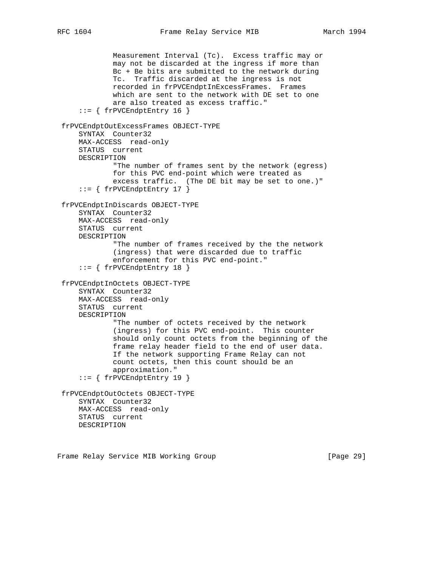Measurement Interval (Tc). Excess traffic may or may not be discarded at the ingress if more than Bc + Be bits are submitted to the network during Tc. Traffic discarded at the ingress is not recorded in frPVCEndptInExcessFrames. Frames which are sent to the network with DE set to one are also treated as excess traffic."  $::=$  { frPVCEndptEntry 16 } frPVCEndptOutExcessFrames OBJECT-TYPE SYNTAX Counter32 MAX-ACCESS read-only STATUS current DESCRIPTION "The number of frames sent by the network (egress) for this PVC end-point which were treated as excess traffic. (The DE bit may be set to one.)"  $::=$  { frPVCEndptEntry 17 } frPVCEndptInDiscards OBJECT-TYPE SYNTAX Counter32 MAX-ACCESS read-only STATUS current DESCRIPTION "The number of frames received by the the network (ingress) that were discarded due to traffic enforcement for this PVC end-point." ::= { frPVCEndptEntry 18 } frPVCEndptInOctets OBJECT-TYPE SYNTAX Counter32 MAX-ACCESS read-only STATUS current DESCRIPTION "The number of octets received by the network (ingress) for this PVC end-point. This counter should only count octets from the beginning of the frame relay header field to the end of user data. If the network supporting Frame Relay can not count octets, then this count should be an approximation." ::= { frPVCEndptEntry 19 } frPVCEndptOutOctets OBJECT-TYPE SYNTAX Counter32 MAX-ACCESS read-only STATUS current DESCRIPTION

Frame Relay Service MIB Working Group [97] [Page 29]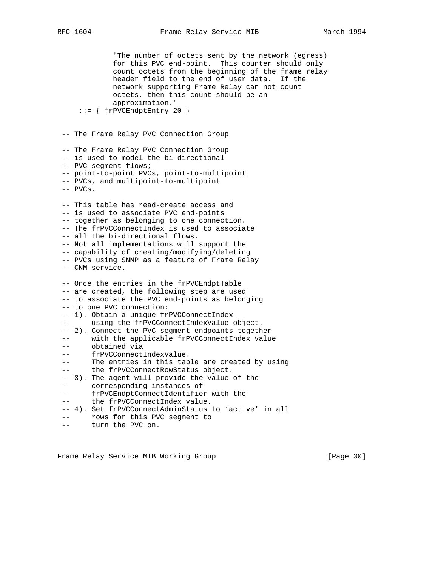"The number of octets sent by the network (egress) for this PVC end-point. This counter should only count octets from the beginning of the frame relay header field to the end of user data. If the network supporting Frame Relay can not count octets, then this count should be an approximation."  $::=$  { frPVCEndptEntry 20 } -- The Frame Relay PVC Connection Group -- The Frame Relay PVC Connection Group -- is used to model the bi-directional -- PVC segment flows; -- point-to-point PVCs, point-to-multipoint -- PVCs, and multipoint-to-multipoint -- PVCs. -- This table has read-create access and -- is used to associate PVC end-points -- together as belonging to one connection. -- The frPVCConnectIndex is used to associate -- all the bi-directional flows. -- Not all implementations will support the -- capability of creating/modifying/deleting -- PVCs using SNMP as a feature of Frame Relay -- CNM service. -- Once the entries in the frPVCEndptTable -- are created, the following step are used -- to associate the PVC end-points as belonging -- to one PVC connection: -- 1). Obtain a unique frPVCConnectIndex -- using the frPVCConnectIndexValue object. -- 2). Connect the PVC segment endpoints together -- with the applicable frPVCConnectIndex value -- obtained via -- frPVCConnectIndexValue. -- The entries in this table are created by using -- the frPVCConnectRowStatus object. -- 3). The agent will provide the value of the -- corresponding instances of -- frPVCEndptConnectIdentifier with the -- the frPVCConnectIndex value. -- 4). Set frPVCConnectAdminStatus to 'active' in all -- rows for this PVC segment to

-- turn the PVC on.

Frame Relay Service MIB Working Group [Page 30]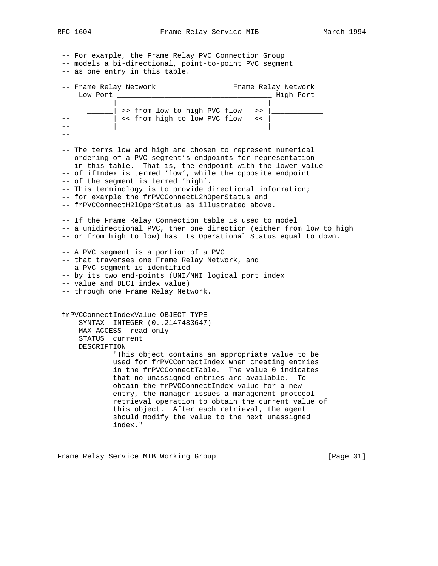-- For example, the Frame Relay PVC Connection Group -- models a bi-directional, point-to-point PVC segment -- as one entry in this table. -- Frame Relay Network Frame Relay Network -- Low Port \_\_\_\_\_\_\_\_\_\_\_\_\_\_\_\_\_\_\_\_\_\_\_\_\_\_\_\_\_\_\_\_\_\_\_\_ High Port -- | | -- \_\_\_\_\_\_\_\_| >> from low to high PVC flow >> --  $|$  << from high to low PVC flow << -- |\_\_\_\_\_\_\_\_\_\_\_\_\_\_\_\_\_\_\_\_\_\_\_\_\_\_\_\_\_\_\_\_\_\_\_|  $-$  -- The terms low and high are chosen to represent numerical -- ordering of a PVC segment's endpoints for representation -- in this table. That is, the endpoint with the lower value -- of ifIndex is termed 'low', while the opposite endpoint -- of the segment is termed 'high'. -- This terminology is to provide directional information; -- for example the frPVCConnectL2hOperStatus and -- frPVCConnectH2lOperStatus as illustrated above. -- If the Frame Relay Connection table is used to model -- a unidirectional PVC, then one direction (either from low to high -- or from high to low) has its Operational Status equal to down. -- A PVC segment is a portion of a PVC -- that traverses one Frame Relay Network, and -- a PVC segment is identified -- by its two end-points (UNI/NNI logical port index -- value and DLCI index value) -- through one Frame Relay Network. frPVCConnectIndexValue OBJECT-TYPE SYNTAX INTEGER (0..2147483647) MAX-ACCESS read-only STATUS current DESCRIPTION "This object contains an appropriate value to be used for frPVCConnectIndex when creating entries in the frPVCConnectTable. The value 0 indicates that no unassigned entries are available. To obtain the frPVCConnectIndex value for a new entry, the manager issues a management protocol retrieval operation to obtain the current value of this object. After each retrieval, the agent should modify the value to the next unassigned index."

Frame Relay Service MIB Working Group [Page 31]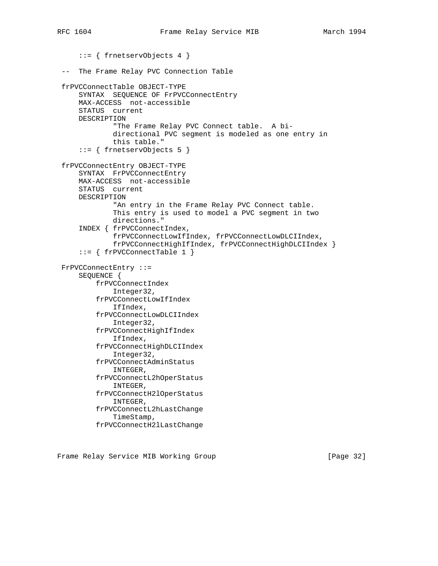::= { frnetservObjects 4 } -- The Frame Relay PVC Connection Table frPVCConnectTable OBJECT-TYPE SYNTAX SEQUENCE OF FrPVCConnectEntry MAX-ACCESS not-accessible STATUS current DESCRIPTION "The Frame Relay PVC Connect table. A bi directional PVC segment is modeled as one entry in this table." ::= { frnetservObjects 5 } frPVCConnectEntry OBJECT-TYPE SYNTAX FrPVCConnectEntry MAX-ACCESS not-accessible STATUS current DESCRIPTION "An entry in the Frame Relay PVC Connect table. This entry is used to model a PVC segment in two directions." INDEX { frPVCConnectIndex, frPVCConnectLowIfIndex, frPVCConnectLowDLCIIndex, frPVCConnectHighIfIndex, frPVCConnectHighDLCIIndex } ::= { frPVCConnectTable 1 } FrPVCConnectEntry ::= SEQUENCE { frPVCConnectIndex Integer32, frPVCConnectLowIfIndex IfIndex, frPVCConnectLowDLCIIndex Integer32, frPVCConnectHighIfIndex IfIndex, frPVCConnectHighDLCIIndex Integer32, frPVCConnectAdminStatus INTEGER, frPVCConnectL2hOperStatus INTEGER, frPVCConnectH2lOperStatus INTEGER, frPVCConnectL2hLastChange TimeStamp, frPVCConnectH2lLastChange

Frame Relay Service MIB Working Group [97] [Page 32]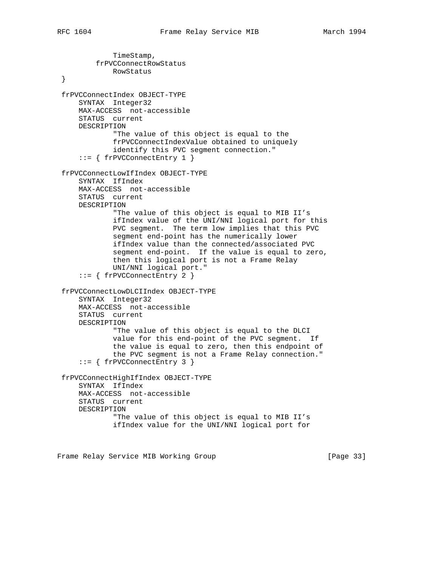TimeStamp, frPVCConnectRowStatus RowStatus } frPVCConnectIndex OBJECT-TYPE SYNTAX Integer32 MAX-ACCESS not-accessible STATUS current DESCRIPTION "The value of this object is equal to the frPVCConnectIndexValue obtained to uniquely identify this PVC segment connection." ::= { frPVCConnectEntry 1 } frPVCConnectLowIfIndex OBJECT-TYPE SYNTAX IfIndex MAX-ACCESS not-accessible STATUS current DESCRIPTION "The value of this object is equal to MIB II's ifIndex value of the UNI/NNI logical port for this PVC segment. The term low implies that this PVC segment end-point has the numerically lower ifIndex value than the connected/associated PVC segment end-point. If the value is equal to zero, then this logical port is not a Frame Relay UNI/NNI logical port." ::= { frPVCConnectEntry 2 } frPVCConnectLowDLCIIndex OBJECT-TYPE SYNTAX Integer32 MAX-ACCESS not-accessible STATUS current DESCRIPTION "The value of this object is equal to the DLCI value for this end-point of the PVC segment. If the value is equal to zero, then this endpoint of the PVC segment is not a Frame Relay connection." ::= { frPVCConnectEntry 3 } frPVCConnectHighIfIndex OBJECT-TYPE SYNTAX IfIndex MAX-ACCESS not-accessible STATUS current DESCRIPTION "The value of this object is equal to MIB II's ifIndex value for the UNI/NNI logical port for

Frame Relay Service MIB Working Group [Page 33]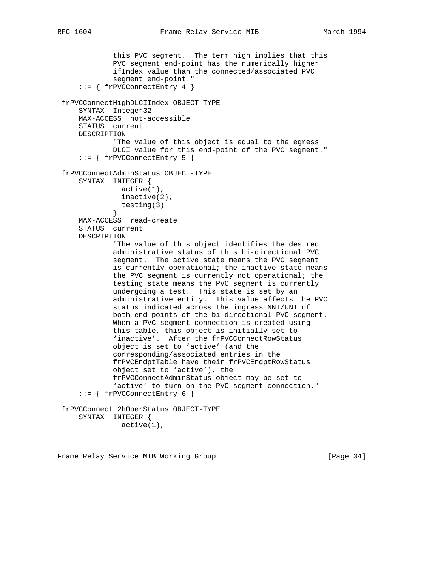```
 this PVC segment. The term high implies that this
              PVC segment end-point has the numerically higher
              ifIndex value than the connected/associated PVC
              segment end-point."
      ::= { frPVCConnectEntry 4 }
 frPVCConnectHighDLCIIndex OBJECT-TYPE
     SYNTAX Integer32
     MAX-ACCESS not-accessible
     STATUS current
     DESCRIPTION
              "The value of this object is equal to the egress
              DLCI value for this end-point of the PVC segment."
      ::= { frPVCConnectEntry 5 }
 frPVCConnectAdminStatus OBJECT-TYPE
     SYNTAX INTEGER {
              active(1),
               inactive(2),
             testing(3)<br>}
 }
     MAX-ACCESS read-create
     STATUS current
     DESCRIPTION
              "The value of this object identifies the desired
              administrative status of this bi-directional PVC
              segment. The active state means the PVC segment
              is currently operational; the inactive state means
              the PVC segment is currently not operational; the
              testing state means the PVC segment is currently
              undergoing a test. This state is set by an
              administrative entity. This value affects the PVC
              status indicated across the ingress NNI/UNI of
              both end-points of the bi-directional PVC segment.
              When a PVC segment connection is created using
              this table, this object is initially set to
              'inactive'. After the frPVCConnectRowStatus
              object is set to 'active' (and the
              corresponding/associated entries in the
              frPVCEndptTable have their frPVCEndptRowStatus
              object set to 'active'), the
              frPVCConnectAdminStatus object may be set to
              'active' to turn on the PVC segment connection."
     ::= { frPVCConnectEntry 6 }
 frPVCConnectL2hOperStatus OBJECT-TYPE
     SYNTAX INTEGER {
```
active(1),

Frame Relay Service MIB Working Group [97] [Page 34]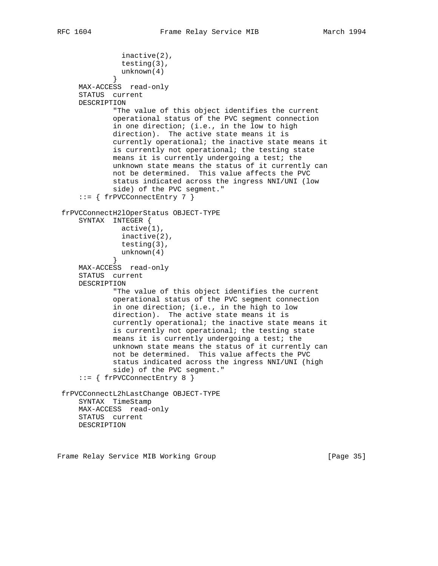```
 inactive(2),
               testing(3),
               unknown(4)
 }
     MAX-ACCESS read-only
     STATUS current
     DESCRIPTION
             "The value of this object identifies the current
             operational status of the PVC segment connection
             in one direction; (i.e., in the low to high
             direction). The active state means it is
             currently operational; the inactive state means it
             is currently not operational; the testing state
             means it is currently undergoing a test; the
             unknown state means the status of it currently can
             not be determined. This value affects the PVC
             status indicated across the ingress NNI/UNI (low
             side) of the PVC segment."
      ::= { frPVCConnectEntry 7 }
 frPVCConnectH2lOperStatus OBJECT-TYPE
     SYNTAX INTEGER {
               active(1),
               inactive(2),
               testing(3),
             unknown(4)<br>}
 }
     MAX-ACCESS read-only
     STATUS current
     DESCRIPTION
              "The value of this object identifies the current
             operational status of the PVC segment connection
             in one direction; (i.e., in the high to low
             direction). The active state means it is
             currently operational; the inactive state means it
             is currently not operational; the testing state
             means it is currently undergoing a test; the
             unknown state means the status of it currently can
             not be determined. This value affects the PVC
             status indicated across the ingress NNI/UNI (high
             side) of the PVC segment."
      ::= { frPVCConnectEntry 8 }
 frPVCConnectL2hLastChange OBJECT-TYPE
     SYNTAX TimeStamp
     MAX-ACCESS read-only
     STATUS current
     DESCRIPTION
```
Frame Relay Service MIB Working Group [Page 35]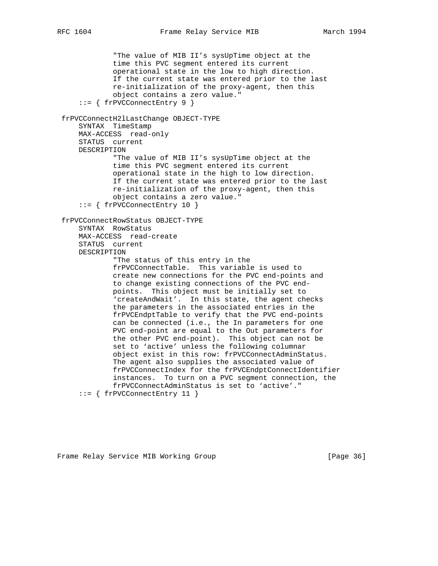"The value of MIB II's sysUpTime object at the time this PVC segment entered its current operational state in the low to high direction. If the current state was entered prior to the last re-initialization of the proxy-agent, then this object contains a zero value." ::= { frPVCConnectEntry 9 } frPVCConnectH2lLastChange OBJECT-TYPE SYNTAX TimeStamp MAX-ACCESS read-only STATUS current DESCRIPTION "The value of MIB II's sysUpTime object at the time this PVC segment entered its current operational state in the high to low direction. If the current state was entered prior to the last re-initialization of the proxy-agent, then this object contains a zero value." ::= { frPVCConnectEntry 10 } frPVCConnectRowStatus OBJECT-TYPE SYNTAX RowStatus MAX-ACCESS read-create STATUS current DESCRIPTION "The status of this entry in the frPVCConnectTable. This variable is used to create new connections for the PVC end-points and to change existing connections of the PVC end points. This object must be initially set to 'createAndWait'. In this state, the agent checks the parameters in the associated entries in the frPVCEndptTable to verify that the PVC end-points can be connected (i.e., the In parameters for one PVC end-point are equal to the Out parameters for the other PVC end-point). This object can not be set to 'active' unless the following columnar object exist in this row: frPVCConnectAdminStatus. The agent also supplies the associated value of frPVCConnectIndex for the frPVCEndptConnectIdentifier instances. To turn on a PVC segment connection, the frPVCConnectAdminStatus is set to 'active'." ::= { frPVCConnectEntry 11 }

Frame Relay Service MIB Working Group [97] [Page 36]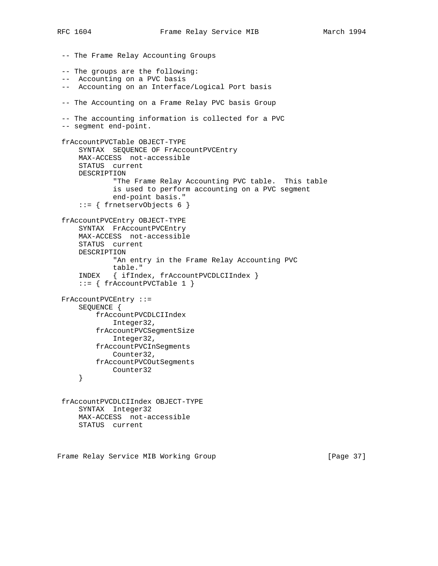-- The Frame Relay Accounting Groups -- The groups are the following: -- Accounting on a PVC basis -- Accounting on an Interface/Logical Port basis -- The Accounting on a Frame Relay PVC basis Group -- The accounting information is collected for a PVC -- segment end-point. frAccountPVCTable OBJECT-TYPE SYNTAX SEQUENCE OF FrAccountPVCEntry MAX-ACCESS not-accessible STATUS current DESCRIPTION "The Frame Relay Accounting PVC table. This table is used to perform accounting on a PVC segment end-point basis." ::= { frnetservObjects 6 } frAccountPVCEntry OBJECT-TYPE SYNTAX FrAccountPVCEntry MAX-ACCESS not-accessible STATUS current DESCRIPTION "An entry in the Frame Relay Accounting PVC table." INDEX { ifIndex, frAccountPVCDLCIIndex } ::= { frAccountPVCTable 1 } FrAccountPVCEntry ::= SEQUENCE { frAccountPVCDLCIIndex Integer32, frAccountPVCSegmentSize Integer32, frAccountPVCInSegments Counter32, frAccountPVCOutSegments Counter32 } frAccountPVCDLCIIndex OBJECT-TYPE

 SYNTAX Integer32 MAX-ACCESS not-accessible STATUS current

Frame Relay Service MIB Working Group [Page 37]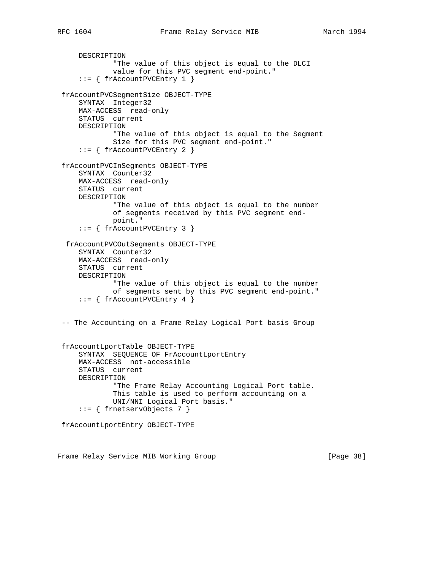```
 DESCRIPTION
             "The value of this object is equal to the DLCI
             value for this PVC segment end-point."
     ::= { frAccountPVCEntry 1 }
 frAccountPVCSegmentSize OBJECT-TYPE
     SYNTAX Integer32
    MAX-ACCESS read-only
     STATUS current
     DESCRIPTION
             "The value of this object is equal to the Segment
             Size for this PVC segment end-point."
     ::= { frAccountPVCEntry 2 }
 frAccountPVCInSegments OBJECT-TYPE
     SYNTAX Counter32
     MAX-ACCESS read-only
     STATUS current
    DESCRIPTION
             "The value of this object is equal to the number
             of segments received by this PVC segment end-
             point."
     ::= { frAccountPVCEntry 3 }
  frAccountPVCOutSegments OBJECT-TYPE
     SYNTAX Counter32
     MAX-ACCESS read-only
     STATUS current
     DESCRIPTION
             "The value of this object is equal to the number
             of segments sent by this PVC segment end-point."
     ::= { frAccountPVCEntry 4 }
 -- The Accounting on a Frame Relay Logical Port basis Group
 frAccountLportTable OBJECT-TYPE
     SYNTAX SEQUENCE OF FrAccountLportEntry
     MAX-ACCESS not-accessible
     STATUS current
    DESCRIPTION
             "The Frame Relay Accounting Logical Port table.
             This table is used to perform accounting on a
             UNI/NNI Logical Port basis."
     ::= { frnetservObjects 7 }
 frAccountLportEntry OBJECT-TYPE
```
Frame Relay Service MIB Working Group [97] [Page 38]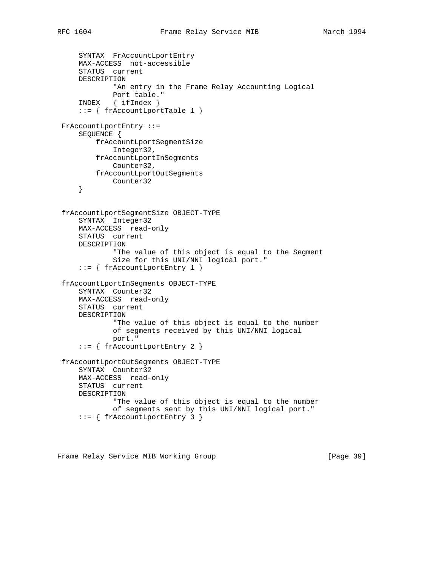```
 SYNTAX FrAccountLportEntry
     MAX-ACCESS not-accessible
     STATUS current
     DESCRIPTION
             "An entry in the Frame Relay Accounting Logical
             Port table."
     INDEX { ifIndex }
     ::= { frAccountLportTable 1 }
 FrAccountLportEntry ::=
     SEQUENCE {
         frAccountLportSegmentSize
             Integer32,
         frAccountLportInSegments
             Counter32,
         frAccountLportOutSegments
            Counter32
     }
 frAccountLportSegmentSize OBJECT-TYPE
     SYNTAX Integer32
    MAX-ACCESS read-only
     STATUS current
    DESCRIPTION
             "The value of this object is equal to the Segment
             Size for this UNI/NNI logical port."
     ::= { frAccountLportEntry 1 }
 frAccountLportInSegments OBJECT-TYPE
     SYNTAX Counter32
    MAX-ACCESS read-only
     STATUS current
     DESCRIPTION
             "The value of this object is equal to the number
             of segments received by this UNI/NNI logical
             port."
     ::= { frAccountLportEntry 2 }
 frAccountLportOutSegments OBJECT-TYPE
     SYNTAX Counter32
     MAX-ACCESS read-only
     STATUS current
     DESCRIPTION
             "The value of this object is equal to the number
             of segments sent by this UNI/NNI logical port."
     ::= { frAccountLportEntry 3 }
```
Frame Relay Service MIB Working Group [Page 39]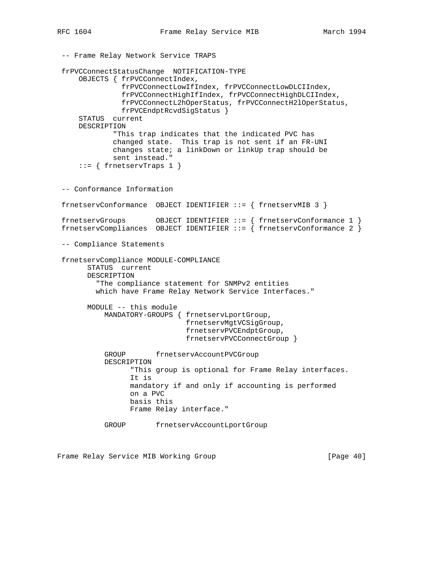-- Frame Relay Network Service TRAPS frPVCConnectStatusChange NOTIFICATION-TYPE OBJECTS { frPVCConnectIndex, frPVCConnectLowIfIndex, frPVCConnectLowDLCIIndex, frPVCConnectHighIfIndex, frPVCConnectHighDLCIIndex, frPVCConnectL2hOperStatus, frPVCConnectH2lOperStatus, frPVCEndptRcvdSigStatus } STATUS current DESCRIPTION "This trap indicates that the indicated PVC has changed state. This trap is not sent if an FR-UNI changes state; a linkDown or linkUp trap should be sent instead." ::= { frnetservTraps 1 } -- Conformance Information frnetservConformance OBJECT IDENTIFIER ::= { frnetservMIB 3 } frnetservGroups OBJECT IDENTIFIER ::= { frnetservConformance 1 } frnetservCompliances OBJECT IDENTIFIER ::= { frnetservConformance 2 } -- Compliance Statements frnetservCompliance MODULE-COMPLIANCE STATUS current DESCRIPTION "The compliance statement for SNMPv2 entities which have Frame Relay Network Service Interfaces." MODULE -- this module MANDATORY-GROUPS { frnetservLportGroup, frnetservMgtVCSigGroup, frnetservPVCEndptGroup, frnetservPVCConnectGroup } GROUP frnetservAccountPVCGroup DESCRIPTION "This group is optional for Frame Relay interfaces. It is mandatory if and only if accounting is performed on a PVC basis this Frame Relay interface." GROUP frnetservAccountLportGroup

Frame Relay Service MIB Working Group [97] [Page 40]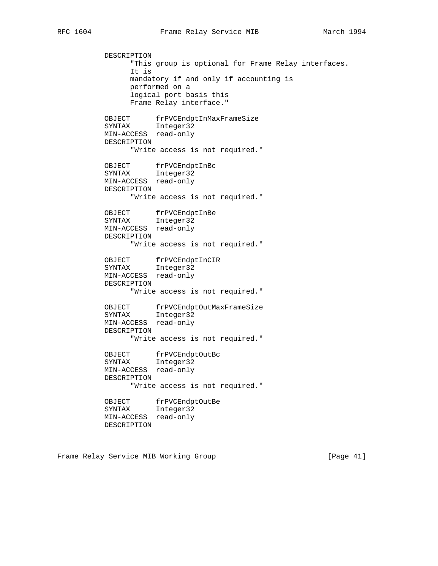DESCRIPTION "This group is optional for Frame Relay interfaces. It is mandatory if and only if accounting is performed on a logical port basis this Frame Relay interface." OBJECT frPVCEndptInMaxFrameSize SYNTAX Integer32 MIN-ACCESS read-only DESCRIPTION "Write access is not required." OBJECT frPVCEndptInBc SYNTAX Integer32 MIN-ACCESS read-only DESCRIPTION "Write access is not required." OBJECT frPVCEndptInBe SYNTAX Integer32 MIN-ACCESS read-only DESCRIPTION "Write access is not required." OBJECT frPVCEndptInCIR SYNTAX Integer32 MIN-ACCESS read-only DESCRIPTION "Write access is not required." OBJECT frPVCEndptOutMaxFrameSize SYNTAX Integer32 MIN-ACCESS read-only DESCRIPTION "Write access is not required." OBJECT frPVCEndptOutBc SYNTAX Integer32 MIN-ACCESS read-only DESCRIPTION "Write access is not required." OBJECT frPVCEndptOutBe SYNTAX Integer32 MIN-ACCESS read-only DESCRIPTION

Frame Relay Service MIB Working Group [Page 41]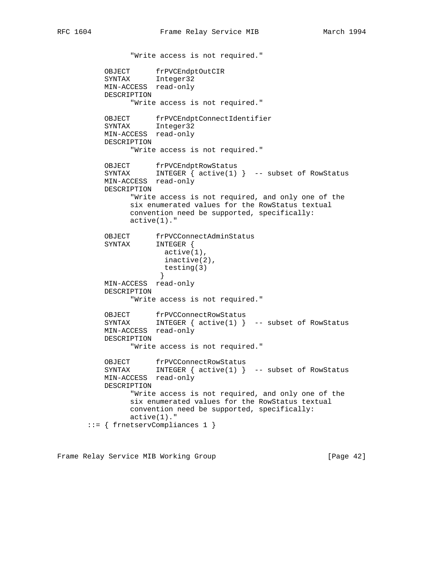"Write access is not required." OBJECT frPVCEndptOutCIR<br>SYNTAX Integer32 SYNTAX Integer32 MIN-ACCESS read-only DESCRIPTION "Write access is not required." OBJECT frPVCEndptConnectIdentifier SYNTAX Integer32 MIN-ACCESS read-only DESCRIPTION "Write access is not required." OBJECT frPVCEndptRowStatus SYNTAX INTEGER { active(1) } -- subset of RowStatus MIN-ACCESS read-only DESCRIPTION "Write access is not required, and only one of the six enumerated values for the RowStatus textual convention need be supported, specifically: active(1)." OBJECT frPVCConnectAdminStatus SYNTAX INTEGER { active(1), inactive(2), testing(3) } MIN-ACCESS read-only DESCRIPTION "Write access is not required." OBJECT frPVCConnectRowStatus SYNTAX INTEGER { active(1) } -- subset of RowStatus MIN-ACCESS read-only DESCRIPTION "Write access is not required." OBJECT frPVCConnectRowStatus<br>SYNTAX INTEGER { active(1) } INTEGER  $\{$  active(1)  $\}$  -- subset of RowStatus MIN-ACCESS read-only DESCRIPTION "Write access is not required, and only one of the six enumerated values for the RowStatus textual convention need be supported, specifically: active(1)." ::= { frnetservCompliances 1 }

Frame Relay Service MIB Working Group [97] [Page 42]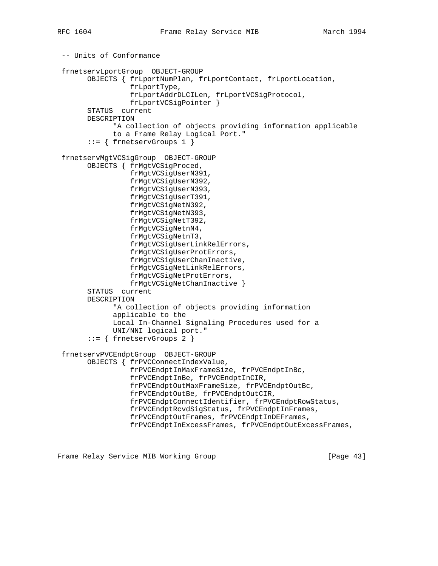-- Units of Conformance frnetservLportGroup OBJECT-GROUP OBJECTS { frLportNumPlan, frLportContact, frLportLocation, frLportType, frLportAddrDLCILen, frLportVCSigProtocol, frLportVCSigPointer } STATUS current DESCRIPTION "A collection of objects providing information applicable to a Frame Relay Logical Port." ::= { frnetservGroups 1 } frnetservMgtVCSigGroup OBJECT-GROUP OBJECTS { frMgtVCSigProced, frMgtVCSigUserN391, frMgtVCSigUserN392, frMgtVCSigUserN393, frMgtVCSigUserT391, frMgtVCSigNetN392, frMgtVCSigNetN393, frMgtVCSigNetT392, frMgtVCSigNetnN4, frMgtVCSigNetnT3, frMgtVCSigUserLinkRelErrors, frMgtVCSigUserProtErrors, frMgtVCSigUserChanInactive, frMgtVCSigNetLinkRelErrors, frMgtVCSigNetProtErrors, frMgtVCSigNetChanInactive } STATUS current DESCRIPTION "A collection of objects providing information applicable to the Local In-Channel Signaling Procedures used for a UNI/NNI logical port." ::= { frnetservGroups 2 } frnetservPVCEndptGroup OBJECT-GROUP OBJECTS { frPVCConnectIndexValue, frPVCEndptInMaxFrameSize, frPVCEndptInBc, frPVCEndptInBe, frPVCEndptInCIR, frPVCEndptOutMaxFrameSize, frPVCEndptOutBc, frPVCEndptOutBe, frPVCEndptOutCIR, frPVCEndptConnectIdentifier, frPVCEndptRowStatus, frPVCEndptRcvdSigStatus, frPVCEndptInFrames, frPVCEndptOutFrames, frPVCEndptInDEFrames, frPVCEndptInExcessFrames, frPVCEndptOutExcessFrames,

Frame Relay Service MIB Working Group [Page 43]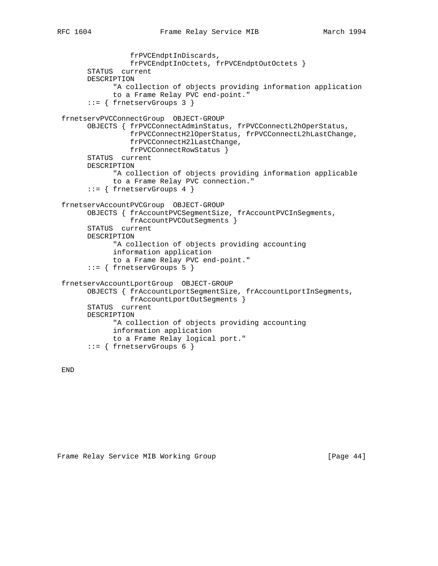```
 frPVCEndptInDiscards,
                 frPVCEndptInOctets, frPVCEndptOutOctets }
       STATUS current
       DESCRIPTION
             "A collection of objects providing information application
             to a Frame Relay PVC end-point."
       ::= { frnetservGroups 3 }
 frnetservPVCConnectGroup OBJECT-GROUP
      OBJECTS { frPVCConnectAdminStatus, frPVCConnectL2hOperStatus,
                 frPVCConnectH2lOperStatus, frPVCConnectL2hLastChange,
                 frPVCConnectH2lLastChange,
                frPVCConnectRowStatus }
       STATUS current
       DESCRIPTION
             "A collection of objects providing information applicable
             to a Frame Relay PVC connection."
       ::= { frnetservGroups 4 }
 frnetservAccountPVCGroup OBJECT-GROUP
       OBJECTS { frAccountPVCSegmentSize, frAccountPVCInSegments,
                frAccountPVCOutSegments }
      STATUS current
      DESCRIPTION
             "A collection of objects providing accounting
             information application
             to a Frame Relay PVC end-point."
       ::= { frnetservGroups 5 }
 frnetservAccountLportGroup OBJECT-GROUP
       OBJECTS { frAccountLportSegmentSize, frAccountLportInSegments,
                frAccountLportOutSegments }
       STATUS current
       DESCRIPTION
             "A collection of objects providing accounting
             information application
             to a Frame Relay logical port."
       ::= { frnetservGroups 6 }
```
END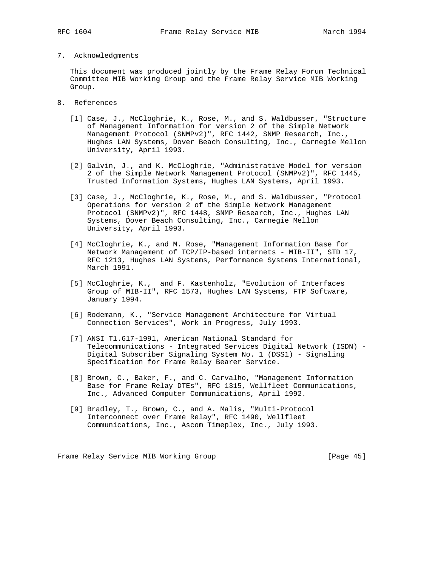7. Acknowledgments

 This document was produced jointly by the Frame Relay Forum Technical Committee MIB Working Group and the Frame Relay Service MIB Working Group.

- 8. References
	- [1] Case, J., McCloghrie, K., Rose, M., and S. Waldbusser, "Structure of Management Information for version 2 of the Simple Network Management Protocol (SNMPv2)", RFC 1442, SNMP Research, Inc., Hughes LAN Systems, Dover Beach Consulting, Inc., Carnegie Mellon University, April 1993.
	- [2] Galvin, J., and K. McCloghrie, "Administrative Model for version 2 of the Simple Network Management Protocol (SNMPv2)", RFC 1445, Trusted Information Systems, Hughes LAN Systems, April 1993.
	- [3] Case, J., McCloghrie, K., Rose, M., and S. Waldbusser, "Protocol Operations for version 2 of the Simple Network Management Protocol (SNMPv2)", RFC 1448, SNMP Research, Inc., Hughes LAN Systems, Dover Beach Consulting, Inc., Carnegie Mellon University, April 1993.
	- [4] McCloghrie, K., and M. Rose, "Management Information Base for Network Management of TCP/IP-based internets - MIB-II", STD 17, RFC 1213, Hughes LAN Systems, Performance Systems International, March 1991.
	- [5] McCloghrie, K., and F. Kastenholz, "Evolution of Interfaces Group of MIB-II", RFC 1573, Hughes LAN Systems, FTP Software, January 1994.
	- [6] Rodemann, K., "Service Management Architecture for Virtual Connection Services", Work in Progress, July 1993.
	- [7] ANSI T1.617-1991, American National Standard for Telecommunications - Integrated Services Digital Network (ISDN) - Digital Subscriber Signaling System No. 1 (DSS1) - Signaling Specification for Frame Relay Bearer Service.
	- [8] Brown, C., Baker, F., and C. Carvalho, "Management Information Base for Frame Relay DTEs", RFC 1315, Wellfleet Communications, Inc., Advanced Computer Communications, April 1992.
	- [9] Bradley, T., Brown, C., and A. Malis, "Multi-Protocol Interconnect over Frame Relay", RFC 1490, Wellfleet Communications, Inc., Ascom Timeplex, Inc., July 1993.

Frame Relay Service MIB Working Group [Page 45]